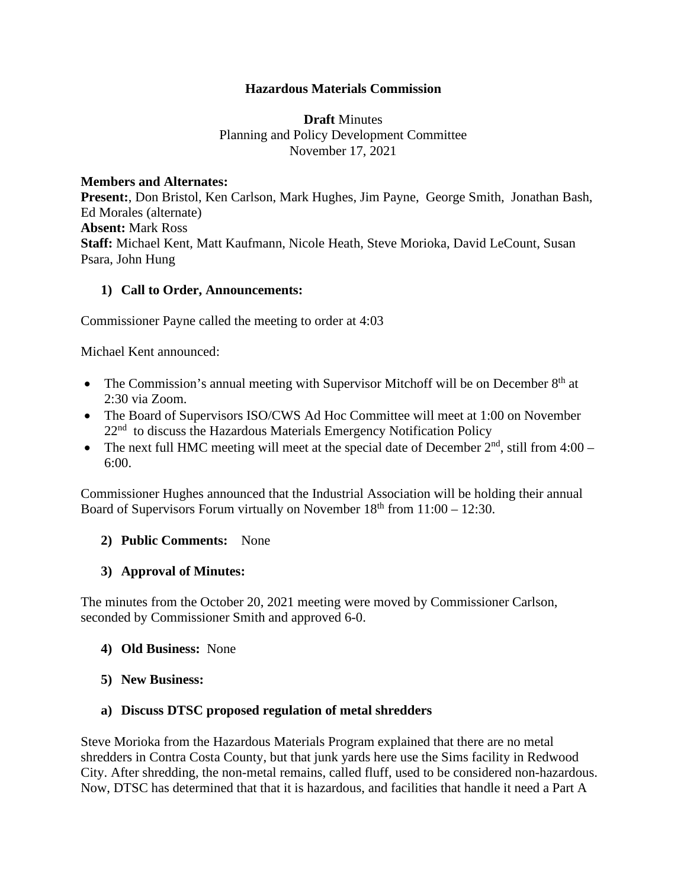### **Hazardous Materials Commission**

**Draft** Minutes Planning and Policy Development Committee November 17, 2021

#### **Members and Alternates:**

**Present:**, Don Bristol, Ken Carlson, Mark Hughes, Jim Payne, George Smith, Jonathan Bash, Ed Morales (alternate) **Absent:** Mark Ross **Staff:** Michael Kent, Matt Kaufmann, Nicole Heath, Steve Morioka, David LeCount, Susan Psara, John Hung

### **1) Call to Order, Announcements:**

Commissioner Payne called the meeting to order at 4:03

Michael Kent announced:

- The Commission's annual meeting with Supervisor Mitchoff will be on December  $8<sup>th</sup>$  at 2:30 via Zoom.
- The Board of Supervisors ISO/CWS Ad Hoc Committee will meet at 1:00 on November  $22<sup>nd</sup>$  to discuss the Hazardous Materials Emergency Notification Policy
- The next full HMC meeting will meet at the special date of December  $2<sup>nd</sup>$ , still from 4:00 6:00.

Commissioner Hughes announced that the Industrial Association will be holding their annual Board of Supervisors Forum virtually on November  $18<sup>th</sup>$  from  $11:00 - 12:30$ .

### **2) Public Comments:** None

### **3) Approval of Minutes:**

The minutes from the October 20, 2021 meeting were moved by Commissioner Carlson, seconded by Commissioner Smith and approved 6-0.

- **4) Old Business:** None
- **5) New Business:**

### **a) Discuss DTSC proposed regulation of metal shredders**

Steve Morioka from the Hazardous Materials Program explained that there are no metal shredders in Contra Costa County, but that junk yards here use the Sims facility in Redwood City. After shredding, the non-metal remains, called fluff, used to be considered non-hazardous. Now, DTSC has determined that that it is hazardous, and facilities that handle it need a Part A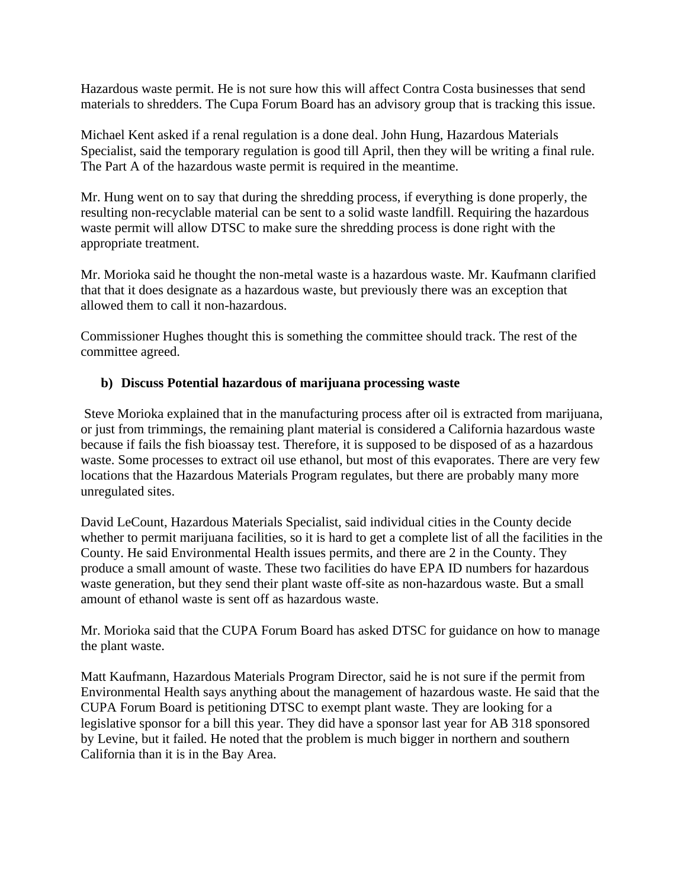Hazardous waste permit. He is not sure how this will affect Contra Costa businesses that send materials to shredders. The Cupa Forum Board has an advisory group that is tracking this issue.

Michael Kent asked if a renal regulation is a done deal. John Hung, Hazardous Materials Specialist, said the temporary regulation is good till April, then they will be writing a final rule. The Part A of the hazardous waste permit is required in the meantime.

Mr. Hung went on to say that during the shredding process, if everything is done properly, the resulting non-recyclable material can be sent to a solid waste landfill. Requiring the hazardous waste permit will allow DTSC to make sure the shredding process is done right with the appropriate treatment.

Mr. Morioka said he thought the non-metal waste is a hazardous waste. Mr. Kaufmann clarified that that it does designate as a hazardous waste, but previously there was an exception that allowed them to call it non-hazardous.

Commissioner Hughes thought this is something the committee should track. The rest of the committee agreed.

# **b) Discuss Potential hazardous of marijuana processing waste**

 Steve Morioka explained that in the manufacturing process after oil is extracted from marijuana, or just from trimmings, the remaining plant material is considered a California hazardous waste because if fails the fish bioassay test. Therefore, it is supposed to be disposed of as a hazardous waste. Some processes to extract oil use ethanol, but most of this evaporates. There are very few locations that the Hazardous Materials Program regulates, but there are probably many more unregulated sites.

David LeCount, Hazardous Materials Specialist, said individual cities in the County decide whether to permit marijuana facilities, so it is hard to get a complete list of all the facilities in the County. He said Environmental Health issues permits, and there are 2 in the County. They produce a small amount of waste. These two facilities do have EPA ID numbers for hazardous waste generation, but they send their plant waste off-site as non-hazardous waste. But a small amount of ethanol waste is sent off as hazardous waste.

Mr. Morioka said that the CUPA Forum Board has asked DTSC for guidance on how to manage the plant waste.

Matt Kaufmann, Hazardous Materials Program Director, said he is not sure if the permit from Environmental Health says anything about the management of hazardous waste. He said that the CUPA Forum Board is petitioning DTSC to exempt plant waste. They are looking for a legislative sponsor for a bill this year. They did have a sponsor last year for AB 318 sponsored by Levine, but it failed. He noted that the problem is much bigger in northern and southern California than it is in the Bay Area.